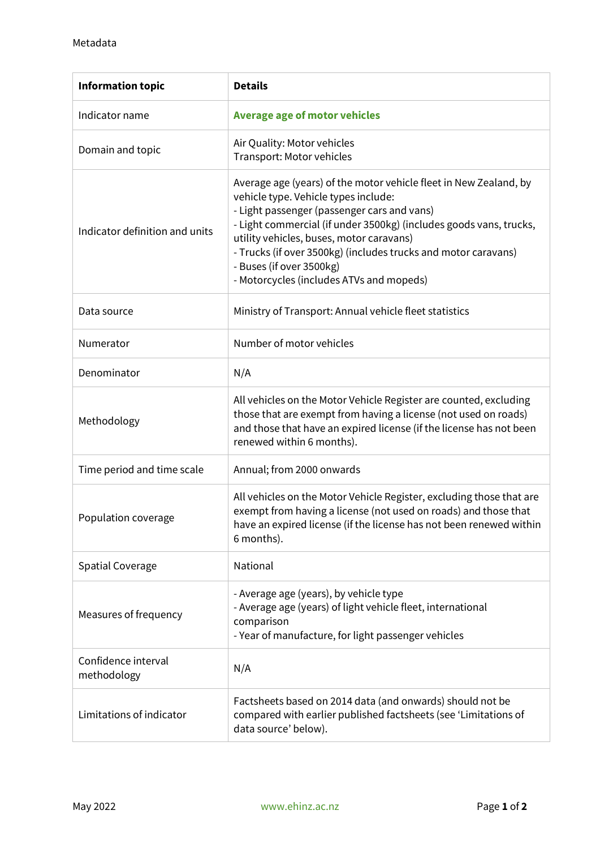| <b>Information topic</b>           | <b>Details</b>                                                                                                                                                                                                                                                                                                                                                                                                       |
|------------------------------------|----------------------------------------------------------------------------------------------------------------------------------------------------------------------------------------------------------------------------------------------------------------------------------------------------------------------------------------------------------------------------------------------------------------------|
| Indicator name                     | <b>Average age of motor vehicles</b>                                                                                                                                                                                                                                                                                                                                                                                 |
| Domain and topic                   | Air Quality: Motor vehicles<br>Transport: Motor vehicles                                                                                                                                                                                                                                                                                                                                                             |
| Indicator definition and units     | Average age (years) of the motor vehicle fleet in New Zealand, by<br>vehicle type. Vehicle types include:<br>- Light passenger (passenger cars and vans)<br>- Light commercial (if under 3500kg) (includes goods vans, trucks,<br>utility vehicles, buses, motor caravans)<br>- Trucks (if over 3500kg) (includes trucks and motor caravans)<br>- Buses (if over 3500kg)<br>- Motorcycles (includes ATVs and mopeds) |
| Data source                        | Ministry of Transport: Annual vehicle fleet statistics                                                                                                                                                                                                                                                                                                                                                               |
| Numerator                          | Number of motor vehicles                                                                                                                                                                                                                                                                                                                                                                                             |
| Denominator                        | N/A                                                                                                                                                                                                                                                                                                                                                                                                                  |
| Methodology                        | All vehicles on the Motor Vehicle Register are counted, excluding<br>those that are exempt from having a license (not used on roads)<br>and those that have an expired license (if the license has not been<br>renewed within 6 months).                                                                                                                                                                             |
| Time period and time scale         | Annual; from 2000 onwards                                                                                                                                                                                                                                                                                                                                                                                            |
| Population coverage                | All vehicles on the Motor Vehicle Register, excluding those that are<br>exempt from having a license (not used on roads) and those that<br>have an expired license (if the license has not been renewed within<br>6 months).                                                                                                                                                                                         |
| <b>Spatial Coverage</b>            | National                                                                                                                                                                                                                                                                                                                                                                                                             |
| Measures of frequency              | - Average age (years), by vehicle type<br>- Average age (years) of light vehicle fleet, international<br>comparison<br>- Year of manufacture, for light passenger vehicles                                                                                                                                                                                                                                           |
| Confidence interval<br>methodology | N/A                                                                                                                                                                                                                                                                                                                                                                                                                  |
| Limitations of indicator           | Factsheets based on 2014 data (and onwards) should not be<br>compared with earlier published factsheets (see 'Limitations of<br>data source' below).                                                                                                                                                                                                                                                                 |